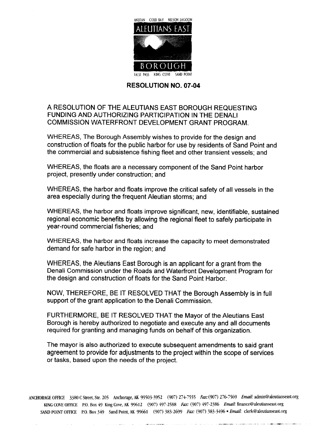

## **RESOLUTION NO. 07-04**

## A RESOLUTION OF THE ALEUTIANS EAST BOROUGH REQUESTING FUNDING AND AUTHORIZING PARTICIPATION IN THE DENALI COMMISSION WATERFRONT DEVELOPMENT GRANT PROGRAM

WHEREAS, The Borough Assembly wishes to provide for the design and construction of floats for the public harbor for use by residents of Sand Point and the commercial and subsistence fishing fleet and other transient vessels; and

WHEREAS, the floats are a necessary component of the Sand Point harbor project, presently under construction; and

WHEREAS, the harbor and floats improve the critical safety of all vessels in the area especially during the frequent Aleutian storms; and

WHEREAS, the harbor and floats improve significant, new, identifiable, sustained regional economic benefits by allowing the regional fleet to safely participate in year-round commercial fisheries; and

WHEREAS, the harbor and floats increase the capacity to meet demonstrated demand for safe harbor in the region; and

WHEREAS, the Aleutians East Borough is an applicant for a grant from the Denali Commission under the Roads and Waterfront Development Program for the design and construction of floats for the Sand Point Harbor

NOW, THEREFORE, BE IT RESOLVED THAT the Borough Assembly is in full support of the grant application to the Denali Commission.

FURTHERMORE, BE IT RESOLVED THAT the Mayor of the Aleutians East Borough is hereby authorized to negotiate and execute any and all documents required for granting and managing funds on behalf of this organization

The mayor is also authorized to execute subsequent amendments to said grant agreement to provide for adjustments to the project within the scope of services or tasks, based upon the needs of the project.

ANCHORAGE OFFICE 3380 C Street, Ste. 205 Anchorage, AK 99503-3952 (907) 274-7555 Fax: (907) 276-7569 Email: admin@aleutianseast.org KING COVE OFFICE P.O. Box 49 King Cove, AK 99612 (907) 497-2588 Fax: (907) 497-2386 Email: finance@aleutianseast.org SAND POINT OFFICE P.O. Box 349 Sand Point, AK 99661 (907) 383-2699 Fax: (907) 383-3496 · Email: clerk@aleutianseast.org

and the first state of the control of the company of the company of the